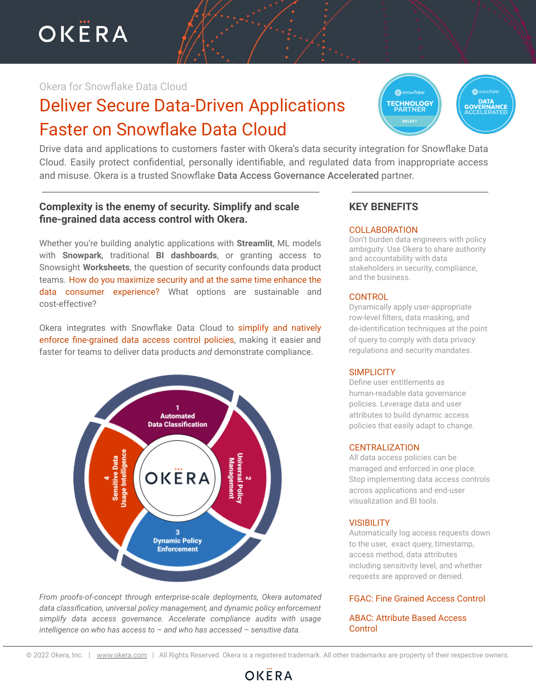OKËRA

# Okera for Snowflake Data Cloud

# Deliver Secure Data-Driven Applications Faster on Snowflake Data Cloud

Drive data and applications to customers faster with Okera's data security integration for Snowflake Data Cloud. Easily protect confidential, personally identifiable, and regulated data from inappropriate access and misuse. Okera is a trusted Snowflake Data Access Governance Accelerated partner.

# **Complexity is the enemy of security. Simplify and scale fine-grained data access control with Okera.**

Whether you're building analytic applications with **Streamlit**, ML models with **Snowpark**, traditional **BI dashboards**, or granting access to Snowsight **Worksheets**, the question of security confounds data product teams. How do you maximize security and at the same time enhance the data consumer experience? What options are sustainable and cost-effective?

Okera integrates with Snowflake Data Cloud to simplify and natively enforce fine-grained data access control policies, making it easier and faster for teams to deliver data products *and* demonstrate compliance.



*From proofs-of-concept through enterprise-scale deployments, Okera automated data classification, universal policy management, and dynamic policy enforcement simplify data access governance. Accelerate compliance audits with usage intelligence on who has access to – and who has accessed – sensitive data.*

# **KEY BENEFITS**

#### **COLLABORATION**

Don't burden data engineers with policy ambiguity. Use Okera to share authority and accountability with data stakeholders in security, compliance, and the business.

**FECHNOLOGY** 

**DATA**<br>GOVERNANCE

#### **CONTROL**

Dynamically apply user-appropriate row-level filters, data masking, and de-identification techniques at the point of query to comply with data privacy regulations and security mandates.

#### **SIMPLICITY**

Define user entitlements as human-readable data governance policies. Leverage data and user attributes to build dynamic access policies that easily adapt to change.

#### **CENTRALIZATION**

All data access policies can be managed and enforced in one place. Stop implementing data access controls across applications and end-user visualization and BI tools.

#### **VISIBILITY**

Automatically log access requests down to the user, exact query, timestamp, access method, data attributes including sensitivity level, and whether requests are approved or denied.

## FGAC: Fine Grained Access Control

### ABAC: Attribute Based Access **Control**